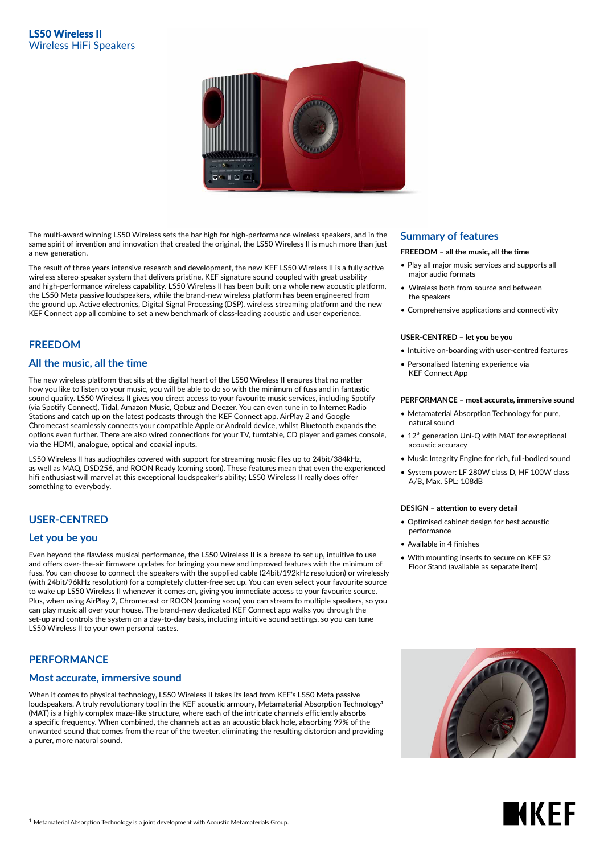

The multi-award winning LS50 Wireless sets the bar high for high-performance wireless speakers, and in the same spirit of invention and innovation that created the original, the LS50 Wireless II is much more than just a new generation.

The result of three years intensive research and development, the new KEF LS50 Wireless II is a fully active wireless stereo speaker system that delivers pristine, KEF signature sound coupled with great usability and high-performance wireless capability. LS50 Wireless II has been built on a whole new acoustic platform, the LS50 Meta passive loudspeakers, while the brand-new wireless platform has been engineered from the ground up. Active electronics, Digital Signal Processing (DSP), wireless streaming platform and the new KEF Connect app all combine to set a new benchmark of class-leading acoustic and user experience.

# **FREEDOM**

## **All the music, all the time**

The new wireless platform that sits at the digital heart of the LS50 Wireless II ensures that no matter how you like to listen to your music, you will be able to do so with the minimum of fuss and in fantastic sound quality. LS50 Wireless II gives you direct access to your favourite music services, including Spotify (via Spotify Connect), Tidal, Amazon Music, Qobuz and Deezer. You can even tune in to Internet Radio Stations and catch up on the latest podcasts through the KEF Connect app. AirPlay 2 and Google Chromecast seamlessly connects your compatible Apple or Android device, whilst Bluetooth expands the options even further. There are also wired connections for your TV, turntable, CD player and games console, via the HDMI, analogue, optical and coaxial inputs.

LS50 Wireless II has audiophiles covered with support for streaming music files up to 24bit/384kHz, as well as MAQ, DSD256, and ROON Ready (coming soon). These features mean that even the experienced hifi enthusiast will marvel at this exceptional loudspeaker's ability; LS50 Wireless II really does offer something to everybody.

# **USER-CENTRED**

## **Let you be you**

Even beyond the flawless musical performance, the LS50 Wireless II is a breeze to set up, intuitive to use and offers over-the-air firmware updates for bringing you new and improved features with the minimum of fuss. You can choose to connect the speakers with the supplied cable (24bit/192kHz resolution) or wirelessly (with 24bit/96kHz resolution) for a completely clutter-free set up. You can even select your favourite source to wake up LS50 Wireless II whenever it comes on, giving you immediate access to your favourite source. Plus, when using AirPlay 2, Chromecast or ROON (coming soon) you can stream to multiple speakers, so you can play music all over your house. The brand-new dedicated KEF Connect app walks you through the set-up and controls the system on a day-to-day basis, including intuitive sound settings, so you can tune LS50 Wireless II to your own personal tastes.

## **PERFORMANCE**

## **Most accurate, immersive sound**

When it comes to physical technology, LS50 Wireless II takes its lead from KEF's LS50 Meta passive loudspeakers. A truly revolutionary tool in the KEF acoustic armoury, Metamaterial Absorption Technology<sup>1</sup> (MAT) is a highly complex maze-like structure, where each of the intricate channels efficiently absorbs a specific frequency. When combined, the channels act as an acoustic black hole, absorbing 99% of the unwanted sound that comes from the rear of the tweeter, eliminating the resulting distortion and providing a purer, more natural sound.

#### **Summary of features**

#### **FREEDOM – all the music, all the time**

- Play all major music services and supports all major audio formats
- Wireless both from source and between the speakers
- Comprehensive applications and connectivity

#### **USER-CENTRED – let you be you**

- Intuitive on-boarding with user-centred features
- Personalised listening experience via KEF Connect App

#### **PERFORMANCE – most accurate, immersive sound**

- Metamaterial Absorption Technology for pure, natural sound
- $\bullet$  12<sup>th</sup> generation Uni-Q with MAT for exceptional acoustic accuracy
- Music Integrity Engine for rich, full-bodied sound
- System power: LF 280W class D, HF 100W class A/B, Max. SPL: 108dB

#### **DESIGN – attention to every detail**

- Optimised cabinet design for best acoustic performance
- Available in 4 finishes
- With mounting inserts to secure on KEF S2 Floor Stand (available as separate item)

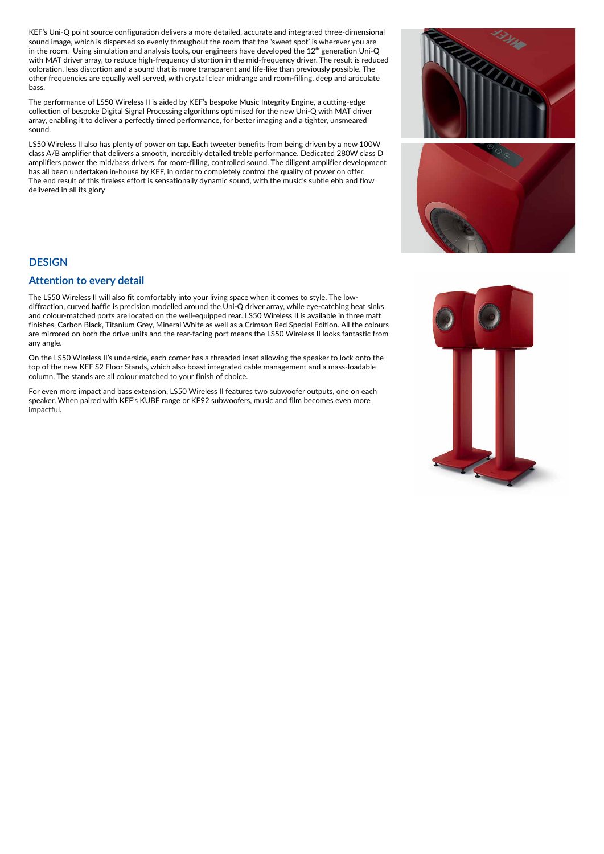KEF's Uni-Q point source configuration delivers a more detailed, accurate and integrated three-dimensional sound image, which is dispersed so evenly throughout the room that the 'sweet spot' is wherever you are in the room. Using simulation and analysis tools, our engineers have developed the 12<sup>th</sup> generation Uni-Q with MAT driver array, to reduce high-frequency distortion in the mid-frequency driver. The result is reduced coloration, less distortion and a sound that is more transparent and life-like than previously possible. The other frequencies are equally well served, with crystal clear midrange and room-filling, deep and articulate bass.

The performance of LS50 Wireless II is aided by KEF's bespoke Music Integrity Engine, a cutting-edge collection of bespoke Digital Signal Processing algorithms optimised for the new Uni-Q with MAT driver array, enabling it to deliver a perfectly timed performance, for better imaging and a tighter, unsmeared sound.

LS50 Wireless II also has plenty of power on tap. Each tweeter benefits from being driven by a new 100W class A/B amplifier that delivers a smooth, incredibly detailed treble performance. Dedicated 280W class D amplifiers power the mid/bass drivers, for room-filling, controlled sound. The diligent amplifier development has all been undertaken in-house by KEF, in order to completely control the quality of power on offer. The end result of this tireless effort is sensationally dynamic sound, with the music's subtle ebb and flow delivered in all its glory

## **DESIGN**

## **Attention to every detail**

The LS50 Wireless II will also fit comfortably into your living space when it comes to style. The lowdiffraction, curved baffle is precision modelled around the Uni-Q driver array, while eye-catching heat sinks and colour-matched ports are located on the well-equipped rear. LS50 Wireless II is available in three matt finishes, Carbon Black, Titanium Grey, Mineral White as well as a Crimson Red Special Edition. All the colours are mirrored on both the drive units and the rear-facing port means the LS50 Wireless II looks fantastic from any angle.

On the LS50 Wireless II's underside, each corner has a threaded inset allowing the speaker to lock onto the top of the new KEF S2 Floor Stands, which also boast integrated cable management and a mass-loadable column. The stands are all colour matched to your finish of choice.

For even more impact and bass extension, LS50 Wireless II features two subwoofer outputs, one on each speaker. When paired with KEF's KUBE range or KF92 subwoofers, music and film becomes even more impactful.